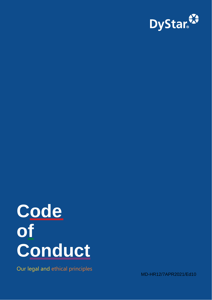

# **Code of Conduct**

Our legal and ethical principles

MD-HR12/7APR2021/Ed10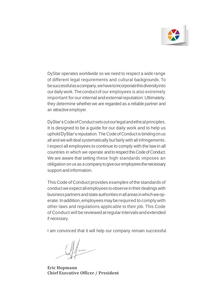

DyStar operates worldwide so we need to respect a wide range of different legal requirements and cultural backgrounds. To besuccessfulasacompany,wehavetoincorporatethisdiversityinto ourdailywork.Theconduct of our employees is also extremely important for our internal and external reputation: Ultimately, they determine whether we are regarded as a reliable partner and an attractive employer.

DyStar'sCodeofConductsetsoutourlegalandethicalprinciples. It is designed to be a guide for our daily work and to help us uphold DyStar's reputation. The Code of Conduct is binding on us all and we will deal systematically but fairly with all infringements. I expect all employees to continue to comply with the law in all countries in which we operate and to respect this Code of Conduct. We are aware that setting these high standards imposes an obligation on us as a company to give our employees the necessary support and information.

This Code of Conduct provides examples of the standards of conductwe expect allemployees toobserveintheir dealings with business partners and state authorities in all areas in which we operate.Inaddition,employeesmayberequired to comply with other laws and regulations applicable to their job. This Code of Conduct will bereviewedatregularintervalsandextended if necessary.

I am convinced that it will help our company remain successful.

**Eric Hopmann Chief Executive Officer / President**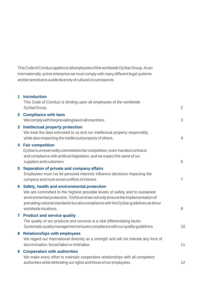This Code of Conduct applies to all employees of the worldwide DyStar Group. As an internationally active enterprise we must comply with many different legal systems andbesensitivetoawidediversityofculturalcircumstances

|    | This Code of Conduct is binding upon all employees of the worldwide<br>DyStarGroup.                                                                                                                                                                                                                                              | $\overline{2}$ |
|----|----------------------------------------------------------------------------------------------------------------------------------------------------------------------------------------------------------------------------------------------------------------------------------------------------------------------------------|----------------|
|    | 2 Compliance with laws<br>Wecomply with the prevailing law in all countries.                                                                                                                                                                                                                                                     | 3              |
|    | 3 Intellectual property protection<br>We treat the data entrusted to us and our intellectual property responsibly,<br>while also respecting the intellectual property of others.                                                                                                                                                 | 4              |
|    | 4 Fair competition<br>DyStar is unreservedly committed to fair competition, even-handed contracts<br>and compliance with antitrust legislation, and we expect the same of our<br>suppliers and customers                                                                                                                         | 6              |
|    | 5 Separation of private and company affairs<br>Employees must not let personal interests influence decisions impacting the<br>company and must avoid conflicts of interest.                                                                                                                                                      | $\overline{7}$ |
|    | 6 Safety, health and environmental protection<br>We are committed to the highest possible levels of safety and to sustained<br>environmental protection. To this end we not only ensure the implementation of<br>prevailing national standards but also compliance with the DyStar guidelines at all our<br>worldwide locations. | 8              |
| 7. | <b>Product and service quality</b><br>The quality of our products and services is a vital differentiating factor.<br>Systematic quality management ensures compliance with our quality guidelines.                                                                                                                               | 10             |
| 8. | <b>Relationships with employees</b><br>We regard our international diversity as a strength and will not tolerate any form of<br>discrimination, forced labor or child labor.                                                                                                                                                     | 11             |
| 9  | <b>Cooperation with authorities</b><br>We make every effort to maintain cooperative relationships with all competent<br>authorities while defending our rights and those of our employees.                                                                                                                                       | 12             |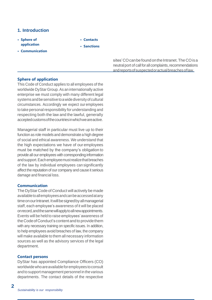## **1. Introduction**

- **• Sphere of application**
- **• Communication**
- **• Contacts**
- **• Sanctions**

sites' CO can be found on the Intranet. The CO is a neutral port of call for all complaints, recommendations andreportsofsuspectedoractualbreachesoflaw.

## **Sphere of application**

This Code of Conduct applies to all employees of the worldwide DyStarGroup.As an internationally active enterprise we must comply with many different legal systemsandbesensitivetoawidediversityofcultural circumstances. Accordingly we expect our employees to take personal responsibility for understanding and respecting both the law and the lawful, generally acceptedcustomsofthecountriesinwhichweareactive.

Managerial staff in particular must live up to their function as role models and demonstrate a high degree of social and ethical awareness. We understand that the high expectations we have of our employees must be matched by the company's obligation to provide all our employees with corresponding information andsupport.Eachemployeemustrealizethatbreaches of the law by individual employees can significantly affect the reputation of our company and cause it serious damage and financial loss.

## **Communication**

The DyStar Code of Conduct will actively be made availabletoallemployeesandcanbeaccessedatany time on our Intranet. It will be signed by all managerial staff, each employee's awareness of it will be placed onrecord,andthesamewillapplytoallnewappointments. Events will be held to raise employees'awareness of theCodeofConduct'scontentandtoprovidethem with any necessary training on specific issues. In addition, to help employees avoid breaches of law, the company will make available to them all necessary information sources as well as the advisory services of the legal department.

#### **Contact persons**

**2**

DyStar has appointed Compliance Officers (CO) worldwidewhoareavailableforemployees toconsult and to support management personnel in the various departments. The contact details of the respective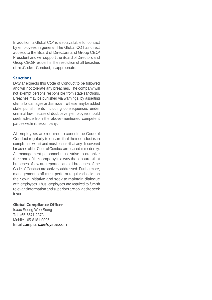In addition, a Global CO\* is also available for contact by employees in general. The Global CO has direct access to the Board of Directors and Group CEO/ President and will support the Board of Directors and Group CEO/President in the resolution of all breaches ofthisCodeofConduct,asappropriate.

## **Sanctions**

DyStar expects this Code of Conduct to be followed and will not tolerate any breaches. The company will not exempt persons responsible from state sanctions. Breaches may be punished via warnings, by asserting claimsfordamagesordismissal.Tothesemaybeadded state punishments including consequences under criminal law. In case of doubt every employee should seek advice from the above-mentioned competent parties within the company.

All employees are required to consult the Code of Conduct regularly to ensure that their conduct is in compliance with it and must ensure that any discovered breaches of the Code of Conduct are ceased immediately. All management personnel must strive to organize their part of the company in a way that ensures that breaches of law are reported and all breaches of the Code of Conduct are actively addressed. Furthermore, management staff must perform regular checks on their own initiative and seek to maintain dialogue with employees. Thus, employees are required to furnish relevant informationandsuperiorsareobligedtoseek itout.

## **Global Compliance Officer**

Isaac Soong Wee Siong Tel +65-6671 2873 Mobile +65-8181-0095 Emai[l:compliance@dystar.com](mailto:compliance@dystar.com)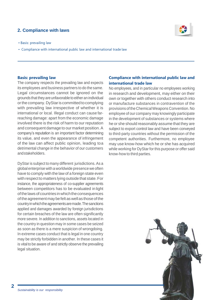# <span id="page-5-0"></span>**2. Compliance with laws**

- Basis: prevailing law
- Compliance with international public law and international trade law



#### **Basis: prevailing law**

The company respects the prevailing law and expects its employees and business partners to do the same. Legal circumstances cannot be ignored on the grounds that they are unfavorable to either an individual or the company. DyStar is committed to complying with prevailing law irrespective of whether it is international or local. Illegal conduct can cause farreaching damage: apart from the economic damage involved there is the risk of harm to our reputation and consequent damage to our market position.A company's reputation is an important factor determining its value, and even the appearance of infringement of the law can affect public opinion, leading toa detrimental change in the behavior of our customers andstakeholders.

DyStar is subject to many different jurisdictions.As a global enterprise with a worldwide presence we often have to comply with the law of a foreign state even with respect to matters lying outside that state. For instance, the appropriateness of co-supplier agreements between competitors has to be evaluated in light of the laws of countries in which the consequences of the agreement may be felt as well as those of the countryinwhichtheagreementsaremade.Thesanctions applied and damages awarded by foreign jurisdictions for certain breaches of the law are often significantly more severe. In addition to sanctions, assets located in the country in question may in some cases be seized as soon as there is a mere suspicion of wrongdoing. In extreme cases conduct that is legal in one country may be strictly forbidden in another. In these cases it is vital to be aware of and strictly observe the prevailing legal situation.

## **Compliance with international public law and international trade law**

No employees, and in particular no employees working in research and development, may either on their own or together with others conduct research into or manufacture substances in contravention of the provisions oftheChemicalWeapons Convention. No employee of our company may knowingly participate in the development of substances or systems where he or she should reasonably assume that they are subject to export control law and have been conveyed to third-party countries without the permission of the competent authorities. Furthermore, no employee may use know-how which he or she has acquired while working for DyStar for this purpose or offer said know-how to third parties.

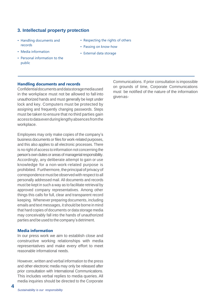## <span id="page-7-0"></span>**3. Intellectual property protection**

• Respecting the rights of others • Passing on know-how • External data storage

- Handling documents and records
- Media information
- Personal information to the public
- **Handling documents and records**

Confidentialdocumentsanddatastoragemediaused in the workplace must not be allowed to fall into unauthorized hands and must generally be kept under lock and key. Computers must be protected by assigning and frequently changing passwords. Steps must be taken to ensure that no third parties gain accesstodataevenduringlengthyabsencesfromthe workplace.

Employees may only make copies of the company's business documents or files for work-related purposes, and this also applies to all electronic processes. There is no right of access to information not concerning the person's own duties or areas of managerial responsibility. Accordingly, any deliberate attempt to gain or use knowledge for a non-work-related purpose is prohibited. Furthermore, the principal of privacy of correspondence must be observed with respect to all personally addressed mail. All documents and records must be kept in such a way as to facilitate retrieval by approved company representatives. Among other things this calls for full, clear and transparent record keeping. Whenever preparing documents, including emails and text messages, it should be borne in mind that hard copies of documents or data storage media may conceivably fall into the hands of unauthorized parties and be usedto thecompany's detriment.

#### **Media information**

In our press work we aim to establish close and constructive working relationships with media representatives and make every effort to meet reasonable informational needs.

However, written and verbal information to the press and other electronic media may only be released after prior consultation with International Communications. This includes verbal replies to media queries.All media inquiries should be directed to the Corporate

Communications. If prior consultation is impossible on grounds of time, Corporate Communications must be notified of the nature of the information givenas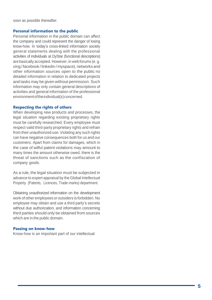soon as possible thereafter.

#### **Personal information to the public**

Personal information in the public domain can affect the company and could represent the danger of losing know -how. In today's cross -linked information society general statements dealing with the professional activities of individuals at DyStar (functional descriptions) are basically accepted. However, in web forums (e. g. xing / facebook / linkedin / myspace), networks and other information sources open to the public no detailed information in relation to dedicated projects and tasks may be given without permission. Such information may only contain general descriptions of activities and general information of the professional environment of the individual(s) concerned.

#### **Respecting the rights of others**

When developing new products and processes, the legal situation regarding existing proprietary rights must be carefully researched. Every employee must respect valid third -party proprietary rights and refrain from their unauthorized use. Violating any such rights can have negative consequences both for us and our customers: Apart from claims for damages, which in the case of wilful patent violations may amount to many times the amount otherwise owed, there is the threat of sanctions such as the confiscation of company goods.

As a rule, the legal situation must be subjected in advance to expert appraisal by the Global Intellectual Property (Patents, Licences, Trade -marks) department.

Obtaining unauthorized information on the development work of other employees or outsiders is forbidden. No employee may obtain and use a third party's secrets without due authorization, and information concerning third parties should only be obtained from sources which are in the public domain.

#### **Passing on know -how**

Know -how is an important part of our intellectual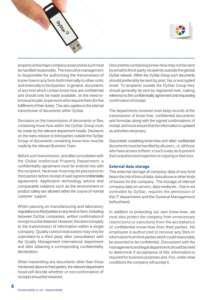

propertyandamajorcompanyassetandassuchmust be handled responsibly.The executive management is responsible for authorizing the transmission of know-howin any form both internally to other units and externally to third parties. In general, documents of any kind which contain know-how are confidential and should only be made available, on the need-toknow principle, to persons who require them for the fulfillment of their duties. This also applies to the internal transmission of documents within DyStar.

Decisions on the transmission of documents or files containing know-how within the DyStar Group must be made by the relevant department heads. Decisions on the trans-mission to third parties outside the DyStar Group of documents containing know-how must be made by the relevant BusinessTeam.

Before such transmission, and after consultation with the Global Intellectual Property Department, a confidentiality agreement must be entered into with therecipient. Noknow-howmaybepassedonto third parties before receipt of said signed confidentiality agreement. Application technology advice and comparable subjects such as the environment or product safety are allowed within the course of normal customer support.

When passing on manufacturing and laboratory regulations to third parties in any kind or form, including between DyStar companies, written confirmationof receiptmustbeobtained.However,thisdoesnotapply to the transmission of information within a single company. Quality control instructions may only be submitted to a third party after consultation with the Quality Management International department and after obtaining a corresponding confidentiality declaration.

When transmitting any documents other than those mentioned above to third parties, the relevant department head will decide whether or not confirmation of receiptsshouldbeobtained.

Documents containing know-how may not be sent by email to third-party recipients outside the global DyStar network. Within the DyStar Group such documents should preferably be sent by post, fax or encrypted email. To recipients outside the DyStar Group they should generally be sent by registered mail, making reference to the confidentiality agreement and requesting confirmation of receipt.

The departments involved must keep records of the transmission of know-how, confidential documents and formulae along with the signed confirmations of receipt, and must ensure that the information is updated as andwhen necessary.

Documents containing know-how and other confidential documents must be handled by all users, i.e. all those who have access tothem, in such a way as to prevent their unauthorized inspection or copying or their loss.

#### **External data storage**

The external storage of company data of any kind bears the risk of loss of data, data abuse or other kinds of losses for the company. The storage of internal company data on servers, data media etc., that is not controlled by DyStar, requires the permission of the IT department and the General Management beforehand.

In addition to protecting our own know-how, we must also protect the company from unnecessary restrictions or sanctions from the acceptance of confidential know-how from third parties. No employee is authorized to receive any files or information from third parties which could reasonably be assumed to be confidential. Discussions with the management and legal department should be held to determine if acceptance of this information is required for business purposes and, if so, under what conditions the company will accept it.

**6**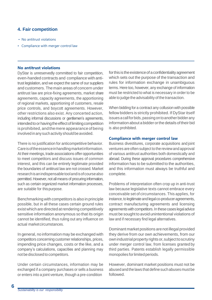# <span id="page-11-0"></span>**4. Fair competition**

- No antitrust violations
- Compliance with merger control law

## **No antitrust violations**

DyStar is unreservedly committed to fair competition, even-handed contracts and compliance with antitrust legislation, and we expect the same of our suppliers and customers. Themain areas of concern under antitrust law are price-fixing agreements, market share agreements, capacity agreements, the apportioning of regional markets, apportioning of customers, resale price controls, and boycott agreements. However, other restrictions also exist. Any concerted action, including informal discussions or gentlemen's agreements, intended to or having the effect of limiting competition is prohibited, and themere appearance of being involved in any such activity should be avoided.

There is no justification for anticompetitive behavior. Care is of the essence in handling market information. At their meetings, trade associations offer opportunities to meet competitors and discuss issues of common interest, and this can be entirely legitimate provided the boundaries of antitrust law are not crossed. Market researchisanindispensabletoolandisofcoursealso permitted. However, not all means of procuring information. such as certain organized market information processes, are suitable for thispurpose.

Benchmarking with competitors is also in principle possible, but in all these cases certain ground rules exist which are directed at rendering competitively sensitive information anonymous so that its origin cannot be identified, thus ruling out any influence on actual marketcircumstances.

In general, no information may be exchanged with competitors concerning customer relationships, prices, impending price changes, costs or the like, and a company's calculations, capacities and planning may not be disclosed to competitors.

Under certain circumstances, information may be exchanged if a company purchases or sells a business or enters into a joint venture, though a pre-condition

for this is the existence of a confidentiality agreement which sets out the purpose of the transaction and rules for information exchange in unambiguous terms. Here too, however, any exchange of information must be restricted to what is necessary in order to be able to judge the advisability of the transaction.

When bidding for a contract any collusion with possible fellow bidders is strictly prohibited. If DyStaritself issues a call for bids, passing on to another bidder any informationabout abidder orthe details oftheir bid is also prohibited.

## **Compliance with merger control law**

Business divestitures, corporate acquisitions and joint ventures are often subject to the reviewand approval of various antitrust authorities both domestically and abroad. During these approval procedures comprehensive information has to be submitted to the authorities, and this information must always be truthful and complete.

Problems of interpretation often crop up in anti-trust law because legislative texts cannot embrace every conceivable set of circumstances. This applies, for instance, to legitimate and legal co-producer agreements, contract manufacturing agreements and licensing agreements with competitors. In these cases legal advice must be sought to avoid unintentional violations of law and if necessary find legal alternatives.

Dominant market positions arenot illegal provided they derive from our own achievements, from our own industrial property rights or, subject to scrutiny under merger control law, from licenses granted by third parties. Patents establish legally permissible monopolies for limited periods.

However, dominant market positions must not be abusedandthelaws that definesuchabuses mustbe followed.

**6**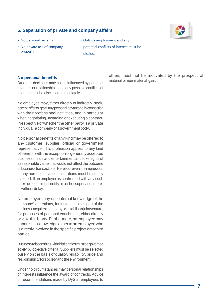# <span id="page-12-0"></span>**5. Separation of private and company affairs**

- No personal benefits
- No private use of company property
- Outside employment and any potential conflicts of interest must be disclosed

#### **No personal benefits**

Business decisions may not be influenced by personal interests or relationships, and any possible conflicts of interest must be disclosed immediately.

No employee may, either directly or indirectly, seek, accept, offer or grant any personal advantage in connection with their professional activities, and in particular when negotiating, awarding or executing a contract, irrespective of whether the other party is a private individual, acompany oragovernment body.

No personal benefits of any kind may be offered to any customer, supplier, official or government representative. This prohibition applies to any kind of benefit, with the exception of generally accepted business meals and entertainment and token gifts of a reasonable value that would not affect the outcome of businesstransactions.Heretoo,eventheimpression of any non-objective considerations must be strictly avoided. If an employee is confronted with any such offer he or she must notify his or her supervisor thereof without delay.

No employee may use internal knowledge of the company's intentions, for instance to sell part of the business,acquireacompanyorestablishajointventure, for purposes of personal enrichment, either directly or viaathirdparty.Furthermore,noemployeemay impart such knowledge either to an employee who is directly involved in the specific project or to third parties.

Business relationships with third parties must be governed solely by objective criteria. Suppliers must be selected purely on the basis of quality, reliability, price and responsibility for society and the environment.

Under no circumstances may personal relationships or interests influence the award of contracts. Advice or recommendations made by DyStar employees to

others must not be motivated by the prospect of material or non-material gain.

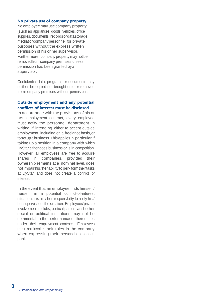## **No private use of company property**

No employee may use company property (such as appliances, goods, vehicles, office supplies, documents, recordsordatastorage media)orcompanypersonnel for private purposes without the express written permission of his or her super-visor. Furthermore, company property may not be removedfrom company premises unless permission has been granted bya supervisor.

Confidential data, programs or documents may neither be copied nor brought onto or removed from company premises without permission.

## **Outside employment and any potential conflicts of interest must be disclosed**

In accordance with the provisions of his or her employment contract, every employee must notify the personnel department in writing if intending either to accept outside employment, including on a freelancebasis,or tosetupabusiness.This applies in particular if taking up a position in a company with which DyStar either does business or is in competition. However, all employees are free to acquire shares in companies, provided their ownership remains at a nominal level, does notimpairhis/herabilitytoper- formtheirtasks at DyStar, and does not create a conflict of interest.

In the event that an employee finds himself / herself in a potential conflict-of-interest situation, it is his / her responsibility to notify his / her supervisor of the situation. Employees'private involvement in clubs, political parties and other social or political institutions may not be detrimental to the performance of their duties under their employment contracts. Employees must not invoke their roles in the company when expressing their personal opinions in public.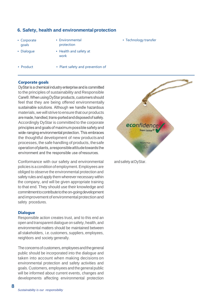## <span id="page-15-0"></span>**6. Safety, health and environmental protection**

- Corporate goals
- Environmental protection

• Technology transfer

- Dialogue
- Health and safety at

work

- Product
- Plant safety and prevention of

## **Corporate goals**

DyStar is a chemical industry enterprise and is committed to the principles of sustainability and Responsible Care®. When using DyStar products, customers should feel that they are being offered environmentally sustainable solutions. Although we handle hazardous materials, we will strive to ensure that our products are made, handled, trans-ported and disposed of safely. Accordingly DyStar is committed to the corporate principles and goals of maximum possible safety and wide-ranging environmental protection. This embraces the thoughtful development of new productsand processes, the safe handling of products, thesafe operation of plants, a responsible attitude towards the environment and the responsible use of resources.

Conformance with our safety and environmental policies is aconditionofemployment.Employees are obliged to observe the environmental protection and safety rules and apply them wherever necessary within the company, and will be given appropriate training to that end. They should use their knowledge and commitmenttocontributetotheon-goingdevelopment and improvement of environmental protection and safety procedures.

#### **Dialogue**

Responsible action creates trust, and to this end an open and transparent dialogue on safety, health, and environmental matters should be maintained between all stakeholders, i.e. customers, suppliers, employees, neighbors and society generally.

The concerns of customers, employees and the general public should be incorporated into the dialogue and taken into account when making decisions on environmental protection and safety activities and goals. Customers, employees and the general public will be informed about current events, changes and developments affecting environmental protection



and safety at DyStar.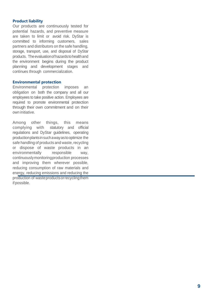## **Product liability**

Our products are continuously tested for potential hazards, and preventive measure are taken to limit or avoid risk. DyStar is committed to informing customers, sales partners and distributors on the safe handling, storage, transport, use, and disposal of DyStar products. Theevaluationofhazardstohealthand the environment begins during the product planning and development stages and continues through commercialization.

## **Environmental protection**

Environmental protection imposes an obligation on both the company and all our employees to take positive action. Employees are required to promote environmental protection through their own commitment and on their own initiative.

Among other things, this means complying with statutory and official regulations and DyStar guidelines, operating productionplantsinsuch awayastooptimize the safe handling of products and waste, recycling or dispose of waste products in an environmentally responsible way, continuouslymonitoringproduction processes and improving them wherever possible, reducing consumption of raw materials and energy, reducing emissions and reducing the production of wasteproducts or recycling them if possible.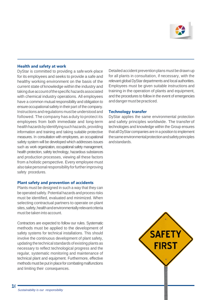

### **Health and safety at work**

DyStar is committed to providing a safe work-place for its employees and seeks to provide a safe and healthy working environment on the basis of the current state of knowledge within the industry and takingdueaccountofthespecifichazardsassociated with chemical industry operations. All employees have a common mutual responsibility and obligation to ensure occupational safety in their part of the company. Instructions and regulations mustbe understood and followed. The company has a duty to protect its employees from both immediate and long-term healthhazardsbyidentifyingsuchhazards,providing information and training and taking suitable protective measures. In consultation with employees, an occupational safety system will be developed which addresses issues such as work organization, occupational safety management, health protection, safety technology, hazardous substances and production processes, viewing all these factors from a holistic perspective. Every employee must alsotakepersonalresponsibilityforfurtherimproving safety procedures.

#### **Plant safety and prevention of accidents**

Plants must be designed in such a way that they can be operated safely.Potential hazards and process risks must be identified, evaluated and minimized. When selecting contractual partners to operate on plant sites, safety, health and environmentally relevant criteria must be taken into account.

Contractors are expected to follow our rules. Systematic methods must be applied to the development of safety systems for technical installations. This should involve the continuous development of plant safety, updating the technical standards ofexisting plants as necessary to reflect technological progress and the regular, systematic monitoring and maintenance of technical plant and equipment. Furthermore, effective methods must be put in place for combating malfunctions and limiting their consequences.

Detailed accident prevention plans must be drawn up for all plants in consultation, if necessary, with the relevant global DyStar departments and local authorities. Employees must be given suitable instructions and training in the operation of plants and equipment, and the procedures to follow in the event of emergencies and danger must be practiced.

#### **Technology transfer**

DyStar applies the same environmental protection and safety principles worldwide. The transferof technologies and knowledge within the Group ensures that all DyStar companies are in a position to implement thesameenvironmentalprotectionandsafetyprinciples andstandards.

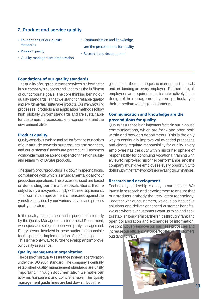# <span id="page-18-0"></span>**7. Product and service quality**

- Foundations of our quality standards
- Product quality
- Quality management organization
- Communication and knowledge are the preconditions for quality
- Research and development

## **Foundations of our quality standards**

The quality of our products and services is a key factor in our company's success and underpins the fulfillment of our corporate goals. The core thinking behind our quality standards is that we stand for reliable quality and environmentally sustainable products. Our manufacturing processes, products and application methods follow high, globally uniform standards and are sustainable for customers, processors, end-consumers andthe environment alike.

#### **Product quality**

Quality-conscious thinking and action form the foundations of our attitude towards our products and services, and our customers' needs are paramount. Customers worldwide must be able to depend on the high quality and reliability of DyStar products.

The quality of our products is laid down in specifications, compliancewithwhichisafundamentalgoalofour production operations. The processes used are based on demanding performance specifications. It is the duty of every employee to comply with these requirements. Theircontinual improvementismeasuredagainstthe yardstick provided by our various service and process quality indicators.

In the quality management audits performed internally by the Quality Management International Department, we inspect and safeguard our own quality management. Every person involved in these audits is responsible for the practical implementation of the findings. This is the only way to further develop and improve our quality assurance.

#### **Quality management organization**

The basis of our quality assurance system is certification under the ISO 9001 standard. The company's centrally established quality management standards are vitally important. Through documentation we make our activities transparent and comprehensible. The quality management guide-lines are laid down in both the

general and department-specific management manuals and are binding on every employee. Furthermore, all employees are required to participate actively in the design of the management system, particularly in theirimmediateworkingenvironments.

## **Communication and knowledge are the preconditions for quality**

Qualityassuranceis an importantfactorin ourin-house communications, which are frank and open both within and between departments. This is the only way to continually improve value-added processes and clearly regulate responsibility for quality. Every employee has the duty within his or her sphere of responsibility for continuing vocational training with aviewtoimprovinghisorherperformance,andthe company must give employees every opportunity to dothiswithintheframeworkoftheprevailingcircumstances.

#### **Research and development**

Technology leadership is a key to our success. We invest in research and development to ensure that our products embody the very latest technology. Together with our customers, we develop innovative solutions and deliver enhanced customer benefits. We are where our customers want us to be and seek to establish long-term partnerships through frank and open collaboration and exchanges of information. We continuously improve our business processes and increase our efficiency in order to offer our customers outstanding value.

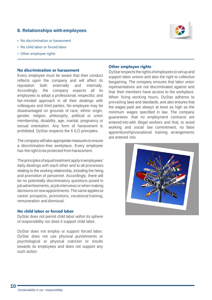# <span id="page-19-0"></span>**8. Relationships with employees**



- No discrimination or harassment
- No child labor or forced labor
- Other employee rights

#### **No discrimination or harassment**

Every employee must be aware that their conduct reflects upon the company and will affect its reputation both externally and internally. Accordingly, the company expects all its employees to adopt a professional, respectful, and fair-minded approach in all their dealings with colleagues and third parties. No employee may be disadvantaged on grounds of race, ethnic origin, gender, religion, philosophy, political or union membership, disability, age, marital, pregnancy or sexual orientation. Any form of harassment is prohibited. DyStar respects the 6 ILO principles.

The companywill take appropriate measures to ensure a discrimination-free workplace. Every employee has the right to be protected from harassment.

The principles of equal treatment apply in employees' daily dealings with each other and to all processes relating to the working relationship, including the hiring and promotion of personnel. Accordingly, there will be no potentially discriminatory questions posed in job advertisements, at job interviews or when making decisions on newappointments.The same applies to career prospects, promotions, vocational training, remuneration and dismissal.

#### **No child labor or forced labor**

DyStar does not permit child labor within its sphere of responsibility nor does it support child labor.

DyStar does not employ or support forced labor. DyStar does not use physical punishments or psychological or physical coercion or insults towards its employees and does not support any such action.

## **Other employee rights**

DyStarrespects the rights ofemployees tosetup and support labor unions and also the right to collective bargaining. The company ensures that labor union representatives are not discriminated against and that their members have access to the workplace. When fixing working hours, DyStar adheres to prevailing laws and standards, and also ensures that the wages paid are always at least as high as the minimum wages specified in law. The company guarantees that no employment contracts are entered into with illegal workers and that, to avoid working and social law commitment, no false apprenticeship/vocational training arrangements are entered into.

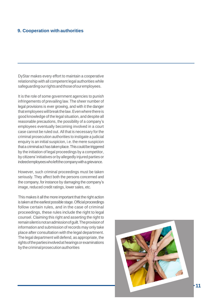# <span id="page-20-0"></span>**9. Cooperation with authorities**

DyStar makes every effort to maintain a cooperative relationship with all competent legal authorities while safeguardingourrightsandthoseofouremployees.

It is the role of some government agencies to punish infringements of prevailing law.The sheer number of legal provisions is ever growing, and with it the danger thatemployeeswillbreakthelaw.Evenwherethereis good knowledge of the legal situation, and despite all reasonable precautions, the possibility of a company's employees eventually becoming involved in a court case cannot be ruled out. All that is necessary for the criminal prosecution authorities to instigate a judicial enquiry is an initial suspicion, i.e. the mere suspicion that a criminalacthastakenplace.Thiscouldbetriggered by the initiation of legal proceedings by a competitor, by citizens'initiatives orby allegedly injured parties or indeedemployeeswholeftthecompanywith agrievance.

However, such criminal proceedings must be taken seriously. They affect both the persons concerned and the company, forinstance by damaging the company's image, reduced credit ratings, lower sales, etc.

This makes it all the more important that the right action is taken at the earliest possible stage. Official proceedings follow certain rules, and in the case of criminal proceedings, these rules include the right to legal counsel. Claiming this right and asserting the right to remainsilentisnotanadmissionofguilt.Theprovisionof information and submission of records may only take place after consultation with the legal department. The legal department will defend, as appropriate, the rightsofthepartiesinvolvedathearingsorexaminations by thecriminalprosecutionauthorities